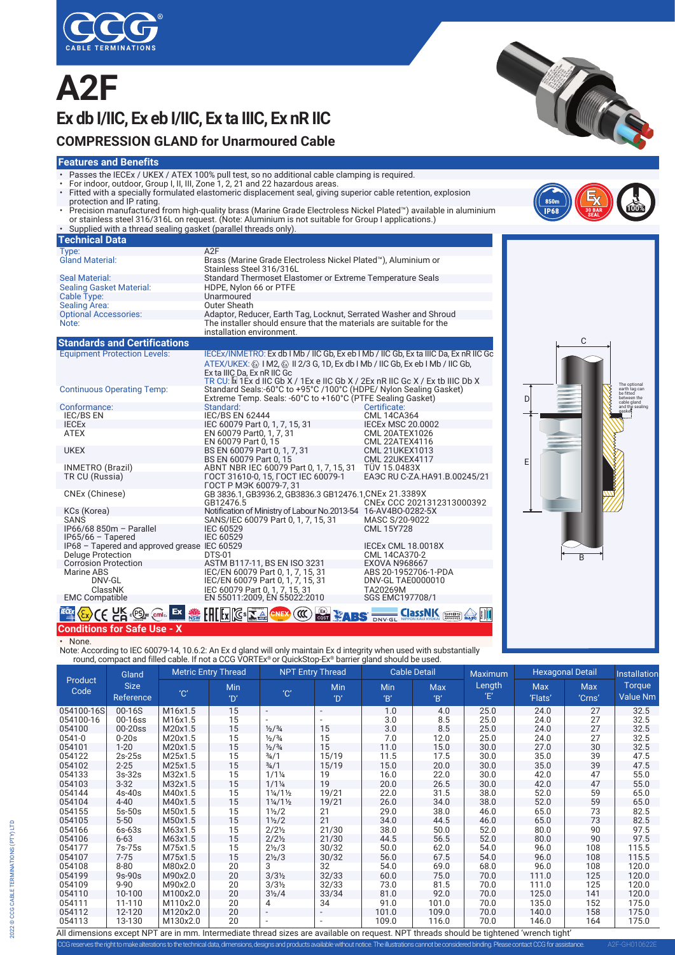

# **A2F Ex db I/IIC, Ex eb I/IIC, Ex ta IIIC, Ex nR IIC**



#### **Features and Benefits**

- Passes the IECEx / UKEX / ATEX 100% pull test, so no additional cable clamping is required.
- For indoor, outdoor, Group I, II, III, Zone 1, 2, 21 and 22 hazardous areas.
- Fitted with a specially formulated elastomeric displacement seal, giving superior cable retention, explosion<br>Protection and IP rating.<br>• Precision manufactured from high-quality brass (Marine Grade Electroless Nickel Pl
- or stainless steel 316/316L on request. (Note: Aluminium is not suitable for Group I applications.) • Supplied with a thread sealing gasket (parallel threads only).

| Technical Data                      |                                                                                                                                 |                                           |  |  |  |  |  |
|-------------------------------------|---------------------------------------------------------------------------------------------------------------------------------|-------------------------------------------|--|--|--|--|--|
| Type:                               | A2F                                                                                                                             |                                           |  |  |  |  |  |
| <b>Gland Material:</b>              | Brass (Marine Grade Electroless Nickel Plated <sup>®</sup> ), Aluminium or<br>Stainless Steel 316/316L                          |                                           |  |  |  |  |  |
| Seal Material:                      | Standard Thermoset Elastomer or Extreme Temperature Seals                                                                       |                                           |  |  |  |  |  |
| <b>Sealing Gasket Material:</b>     | HDPE, Nylon 66 or PTFE                                                                                                          |                                           |  |  |  |  |  |
| Cable Type:                         | Unarmoured                                                                                                                      |                                           |  |  |  |  |  |
| <b>Sealing Area:</b>                | <b>Outer Sheath</b>                                                                                                             |                                           |  |  |  |  |  |
| <b>Optional Accessories:</b>        | Adaptor, Reducer, Earth Tag, Locknut, Serrated Washer and Shroud                                                                |                                           |  |  |  |  |  |
| Note:                               | The installer should ensure that the materials are suitable for the<br>installation environment.                                |                                           |  |  |  |  |  |
| <b>Standards and Certifications</b> |                                                                                                                                 |                                           |  |  |  |  |  |
| <b>Equipment Protection Levels:</b> | IECEX/INMETRO: Ex db I Mb / IIC Gb, Ex eb I Mb / IIC Gb, Ex ta IIIC Da, Ex nR IIC Go                                            |                                           |  |  |  |  |  |
|                                     | ATEX/UKEX: $\circledast$ I M2, $\circledast$ II 2/3 G, 1D, Ex db I Mb / IIC Gb, Ex eb I Mb / IIC Gb,                            |                                           |  |  |  |  |  |
|                                     | Ex ta IIIC Da, Ex nR IIC Gc                                                                                                     |                                           |  |  |  |  |  |
|                                     | TR CU: $\mathbb{I}$ I Tex d IIC Gb X / 1 Ex e IIC Gb X / 2 Ex nR IIC Gc X / Ex tb IIIC Db X                                     |                                           |  |  |  |  |  |
| <b>Continuous Operating Temp:</b>   | Standard Seals:-60°C to +95°C /100°C (HDPE/ Nylon Sealing Gasket)<br>Extreme Temp. Seals: -60°C to +160°C (PTFE Sealing Gasket) |                                           |  |  |  |  |  |
| Conformance:                        | Standard:                                                                                                                       | Certificate:                              |  |  |  |  |  |
| <b>IEC/BS EN</b>                    | <b>IEC/BS EN 62444</b>                                                                                                          | CML 14CA364                               |  |  |  |  |  |
| <b>IECEX</b>                        | IEC 60079 Part 0, 1, 7, 15, 31                                                                                                  | <b>IECEX MSC 20.0002</b>                  |  |  |  |  |  |
| ATEX                                | EN 60079 Part0, 1, 7, 31                                                                                                        | CML 20ATEX1026                            |  |  |  |  |  |
|                                     | EN 60079 Part 0, 15                                                                                                             | CML 22ATEX4116                            |  |  |  |  |  |
| <b>UKEX</b>                         | BS EN 60079 Part 0, 1, 7, 31                                                                                                    | <b>CML 21UKEX1013</b>                     |  |  |  |  |  |
|                                     | BS EN 60079 Part 0, 15                                                                                                          | <b>CML 22UKEX4117</b>                     |  |  |  |  |  |
| INMETRO (Brazil)                    | ABNT NBR IEC 60079 Part 0, 1, 7, 15, 31                                                                                         | <b>TÜV 15.0483X</b>                       |  |  |  |  |  |
| TR CU (Russia)                      | FOCT 31610-0, 15, FOCT IEC 60079-1<br>ГОСТ Р МЭК 60079-7, 31                                                                    | EA <sub>3</sub> C RU C-ZA.HA91.B.00245/21 |  |  |  |  |  |
| CNEx (Chinese)                      | GB 3836.1, GB3936.2, GB3836.3 GB12476.1, CNEx 21.3389X                                                                          |                                           |  |  |  |  |  |

CNEx (Chinese) GB 3836.1, GB3936.2, GB3836.3 GB12476.1, CNEx 21.3389X<br>
GB12476.5 CNEx CCC 2021312313000392<br>
KCs (Korea) Modification of Ministry of Labour No.2013-54 16-AV4B0-0282-5X<br>
SANS SANS/IEC 60079 Part 0. 1. 7. 15.3

 KCs (Korea) Notification of Ministry of Labour No.2013-54 16-AV4BO-0282-5X SANS SANS/IEC 60079 Part 0, 1, 7, 15, 31 MASC S/20-9022 IP66/68 850m – Parallel IEC 60529<br>IP66/68 850m – Parallel IEC 60529<br>IEC 60529 IEC 60529

IP68 – Tapered and approved grease IEC 60529<br>Deluge Protection DTS-01 DTS-01 CML 14CA370-2

Deluge Protection DTS-01 CML 14CA370-2<br>
Corrosion Protection ASTM B117-11, BS EN ISO 3231 EXOVA N968667<br>
Marine ABS 2019 CML ISO 150079 Part 0, 1, 7, 15, 31 ABS 20-1952706-1-PDA<br>
DNV-GL DASSNK IEC/EN 60079 Part 0, 1, 7, 15

EMC Compatible EN 55011:2009, EN 55022:2010 SGS EMC197708/1

D E B  $\mathcal{C}$ The optional earth tag can be fitted between the cable gland and the sealing gasket.

**100%**

**CONTRACTOR** 

A2F-GH010622E

#### **SEGURE CERTIFICATION** CERTIFICATION **Conditions for Safe Use - X**

 $IP65/66$  – Tapered

• None.

Note: According to IEC 60079-14, 10.6.2: An Ex d gland will only maintain Ex d integrity when used with substantially round, compact and filled cable. If not a CCG VORTEx® or QuickStop-Ex® barrier gland should be used.

® TÜVRheinland **OCP 0004**

| Product<br>Code | Gland<br><b>Size</b><br>Reference | <b>Metric Entry Thread</b> |           | <b>NPT Entry Thread</b>         |                          | <b>Cable Detail</b> |                  | <b>Maximum</b> | <b>Hexagonal Detail</b> |                      | <b>Installatior</b>              |
|-----------------|-----------------------------------|----------------------------|-----------|---------------------------------|--------------------------|---------------------|------------------|----------------|-------------------------|----------------------|----------------------------------|
|                 |                                   | $^{\prime}$ C $^{\prime}$  | Min<br>D' | $^{\prime}$ C $^{\prime}$       | Min<br>$^{\prime}$ D'    | Min<br>B'           | <b>Max</b><br>B' | Length<br>Έ    | <b>Max</b><br>'Flats'   | <b>Max</b><br>'Crns' | <b>Torque</b><br><b>Value Nm</b> |
| 054100-16S      | 00-16S                            | M16x1.5                    | 15        | $\overline{\phantom{a}}$        | $\overline{\phantom{a}}$ | 1.0                 | 4.0              | 25.0           | 24.0                    | 27                   | 32.5                             |
| 054100-16       | 00-16ss                           | M16x1.5                    | 15        |                                 |                          | 3.0                 | 8.5              | 25.0           | 24.0                    | 27                   | 32.5                             |
| 054100          | $00-20$ ss                        | M20x1.5                    | 15        | $\frac{1}{2}$ / $\frac{3}{4}$   | 15                       | 3.0                 | 8.5              | 25.0           | 24.0                    | 27                   | 32.5                             |
| 0541-0          | $0-20s$                           | M20x1.5                    | 15        | $\frac{1}{2}$ / $\frac{3}{4}$   | 15                       | 7.0                 | 12.0             | 25.0           | 24.0                    | 27                   | 32.5                             |
| 054101          | $1 - 20$                          | M20x1.5                    | 15        | $\frac{1}{2}$ / $\frac{3}{4}$   | 15                       | 11.0                | 15.0             | 30.0           | 27.0                    | 30                   | 32.5                             |
| 054122          | 2s-25s                            | M25x1.5                    | 15        | $\frac{3}{4}$ /1                | 15/19                    | 11.5                | 17.5             | 30.0           | 35.0                    | 39                   | 47.5                             |
| 054102          | $2 - 25$                          | M25x1.5                    | 15        | $\frac{3}{4}$ /1                | 15/19                    | 15.0                | 20.0             | 30.0           | 35.0                    | 39                   | 47.5                             |
| 054133          | 3s-32s                            | M32x1.5                    | 15        | $1/1\frac{1}{4}$                | 19                       | 16.0                | 22.0             | 30.0           | 42.0                    | 47                   | 55.0                             |
| 054103          | $3 - 32$                          | M32x1.5                    | 15        | $1/1\frac{1}{4}$                | 19                       | 20.0                | 26.5             | 30.0           | 42.0                    | 47                   | 55.0                             |
| 054144          | $4s-40s$                          | M40x1.5                    | 15        | $1\frac{1}{4}$ /1 $\frac{1}{2}$ | 19/21                    | 22.0                | 31.5             | 38.0           | 52.0                    | 59                   | 65.0                             |
| 054104          | $4 - 40$                          | M40x1.5                    | 15        | $1\frac{1}{4}$ /1 $\frac{1}{2}$ | 19/21                    | 26.0                | 34.0             | 38.0           | 52.0                    | 59                   | 65.0                             |
| 054155          | $5s-50s$                          | M50x1.5                    | 15        | $1\frac{1}{2}$                  | 21                       | 29.0                | 38.0             | 46.0           | 65.0                    | 73                   | 82.5                             |
| 054105          | $5 - 50$                          | M50x1.5                    | 15        | $1\frac{1}{2}$                  | 21                       | 34.0                | 44.5             | 46.0           | 65.0                    | 73                   | 82.5                             |
| 054166          | 6s-63s                            | M63x1.5                    | 15        | $2/2\frac{1}{2}$                | 21/30                    | 38.0                | 50.0             | 52.0           | 80.0                    | 90                   | 97.5                             |
| 054106          | $6 - 63$                          | M63x1.5                    | 15        | $2/2\frac{1}{2}$                | 21/30                    | 44.5                | 56.5             | 52.0           | 80.0                    | 90                   | 97.5                             |
| 054177          | 7s-75s                            | M75x1.5                    | 15        | $2\frac{1}{2}$ /3               | 30/32                    | 50.0                | 62.0             | 54.0           | 96.0                    | 108                  | 115.5                            |
| 054107          | 7-75                              | M75x1.5                    | 15        | $2\frac{1}{2}$ /3               | 30/32                    | 56.0                | 67.5             | 54.0           | 96.0                    | 108                  | 115.5                            |
| 054108          | $8 - 80$                          | M80x2.0                    | 20        | 3                               | 32                       | 54.0                | 69.0             | 68.0           | 96.0                    | 108                  | 120.0                            |
| 054199          | $9s-90s$                          | M90x2.0                    | 20        | $3/3\frac{1}{2}$                | 32/33                    | 60.0                | 75.0             | 70.0           | 111.0                   | 125                  | 120.0                            |
| 054109          | $9 - 90$                          | M90x2.0                    | 20        | $3/3\frac{1}{2}$                | 32/33                    | 73.0                | 81.5             | 70.0           | 111.0                   | 125                  | 120.0                            |
| 054110          | 10-100                            | M100x2.0                   | 20        | $3\frac{1}{2}$ /4               | 33/34                    | 81.0                | 92.0             | 70.0           | 125.0                   | 141                  | 120.0                            |
| 054111          | 11-110                            | M110x2.0                   | 20        | 4                               | 34                       | 91.0                | 101.0            | 70.0           | 135.0                   | 152                  | 175.0                            |
| 054112          | 12-120                            | M120x2.0                   | 20        |                                 |                          | 101.0               | 109.0            | 70.0           | 140.0                   | 158                  | 175.0                            |
| 054113          | 13-130                            | M130x2.0                   | 20        | ٠                               | $\sim$                   | 109.0               | 116.0            | 70.0           | 146.0                   | 164                  | 175.0                            |

**ABS DAYGL** 

**Example on KAIJI KYOKAI** 

CCG reserves the right to make alterations to the technical data, dimensions, designs and products available without notice. The illustrations cannot be considered binding. Please contact CCGfor assistance. All dimensions except NPT are in mm. Intermediate thread sizes are available on request. NPT threads should be tightened 'wrench tight'